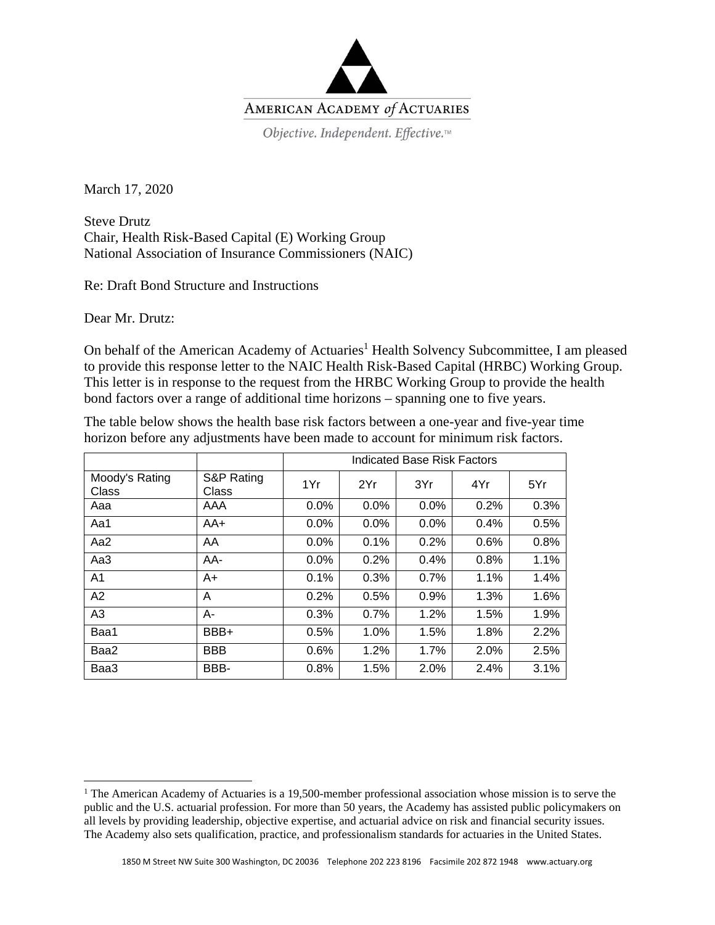

March 17, 2020

Steve Drutz Chair, Health Risk-Based Capital (E) Working Group National Association of Insurance Commissioners (NAIC)

Re: Draft Bond Structure and Instructions

Dear Mr. Drutz:

On behalf of the American Academy of Actuaries<sup>1</sup> Health Solvency Subcommittee, I am pleased to provide this response letter to the NAIC Health Risk-Based Capital (HRBC) Working Group. This letter is in response to the request from the HRBC Working Group to provide the health bond factors over a range of additional time horizons – spanning one to five years.

The table below shows the health base risk factors between a one-year and five-year time horizon before any adjustments have been made to account for minimum risk factors.

|                         |                     | <b>Indicated Base Risk Factors</b> |      |      |      |      |
|-------------------------|---------------------|------------------------------------|------|------|------|------|
| Moody's Rating<br>Class | S&P Rating<br>Class | 1Yr                                | 2Yr  | 3Yr  | 4Yr  | 5Yr  |
| Aaa                     | AAA                 | 0.0%                               | 0.0% | 0.0% | 0.2% | 0.3% |
| Aa1                     | AA+                 | 0.0%                               | 0.0% | 0.0% | 0.4% | 0.5% |
| Aa2                     | AA                  | $0.0\%$                            | 0.1% | 0.2% | 0.6% | 0.8% |
| Aa3                     | AA-                 | $0.0\%$                            | 0.2% | 0.4% | 0.8% | 1.1% |
| A <sub>1</sub>          | $A+$                | 0.1%                               | 0.3% | 0.7% | 1.1% | 1.4% |
| A2                      | A                   | 0.2%                               | 0.5% | 0.9% | 1.3% | 1.6% |
| A3                      | А-                  | 0.3%                               | 0.7% | 1.2% | 1.5% | 1.9% |
| Baa1                    | BBB+                | 0.5%                               | 1.0% | 1.5% | 1.8% | 2.2% |
| Baa2                    | <b>BBB</b>          | 0.6%                               | 1.2% | 1.7% | 2.0% | 2.5% |
| Baa3                    | BBB-                | 0.8%                               | 1.5% | 2.0% | 2.4% | 3.1% |

<sup>&</sup>lt;sup>1</sup> The American Academy of Actuaries is a 19,500-member professional association whose mission is to serve the public and the U.S. actuarial profession. For more than 50 years, the Academy has assisted public policymakers on all levels by providing leadership, objective expertise, and actuarial advice on risk and financial security issues. The Academy also sets qualification, practice, and professionalism standards for actuaries in the United States.